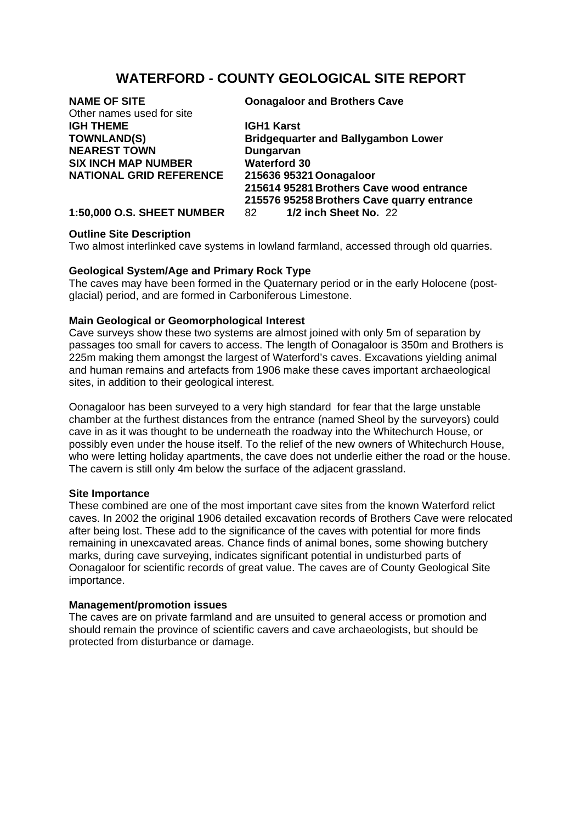# **WATERFORD - COUNTY GEOLOGICAL SITE REPORT**

| <b>Oonagaloor and Brothers Cave</b>        |
|--------------------------------------------|
|                                            |
| <b>IGH1 Karst</b>                          |
| <b>Bridgequarter and Ballygambon Lower</b> |
| Dungarvan                                  |
| <b>Waterford 30</b>                        |
| 215636 95321 Oonagaloor                    |
| 215614 95281 Brothers Cave wood entrance   |
| 215576 95258 Brothers Cave quarry entrance |
| 1/2 inch Sheet No. 22                      |
|                                            |

# **Outline Site Description**

Two almost interlinked cave systems in lowland farmland, accessed through old quarries.

# **Geological System/Age and Primary Rock Type**

The caves may have been formed in the Quaternary period or in the early Holocene (postglacial) period, and are formed in Carboniferous Limestone.

# **Main Geological or Geomorphological Interest**

Cave surveys show these two systems are almost joined with only 5m of separation by passages too small for cavers to access. The length of Oonagaloor is 350m and Brothers is 225m making them amongst the largest of Waterford's caves. Excavations yielding animal and human remains and artefacts from 1906 make these caves important archaeological sites, in addition to their geological interest.

Oonagaloor has been surveyed to a very high standard for fear that the large unstable chamber at the furthest distances from the entrance (named Sheol by the surveyors) could cave in as it was thought to be underneath the roadway into the Whitechurch House, or possibly even under the house itself. To the relief of the new owners of Whitechurch House, who were letting holiday apartments, the cave does not underlie either the road or the house. The cavern is still only 4m below the surface of the adjacent grassland.

### **Site Importance**

These combined are one of the most important cave sites from the known Waterford relict caves. In 2002 the original 1906 detailed excavation records of Brothers Cave were relocated after being lost. These add to the significance of the caves with potential for more finds remaining in unexcavated areas. Chance finds of animal bones, some showing butchery marks, during cave surveying, indicates significant potential in undisturbed parts of Oonagaloor for scientific records of great value. The caves are of County Geological Site importance.

### **Management/promotion issues**

The caves are on private farmland and are unsuited to general access or promotion and should remain the province of scientific cavers and cave archaeologists, but should be protected from disturbance or damage.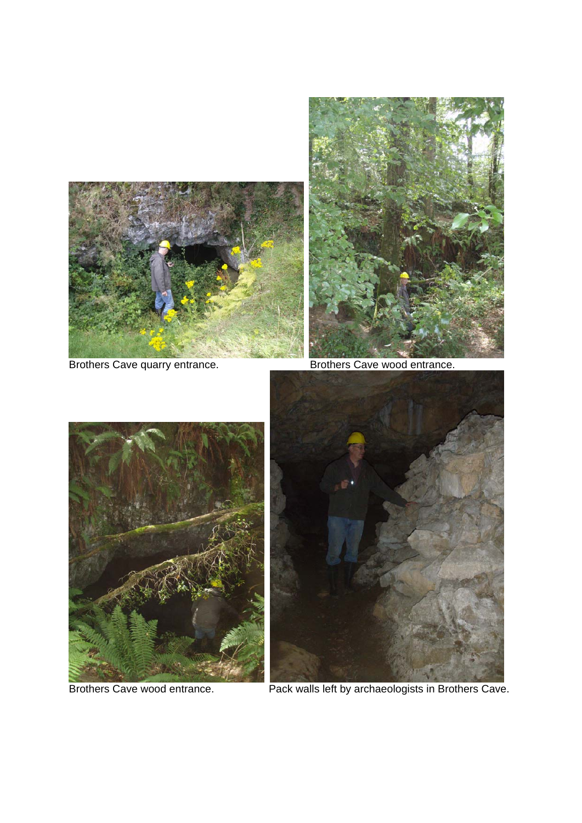

Brothers Cave quarry entrance. Brothers Cave wood entrance.







Brothers Cave wood entrance. Pack walls left by archaeologists in Brothers Cave.